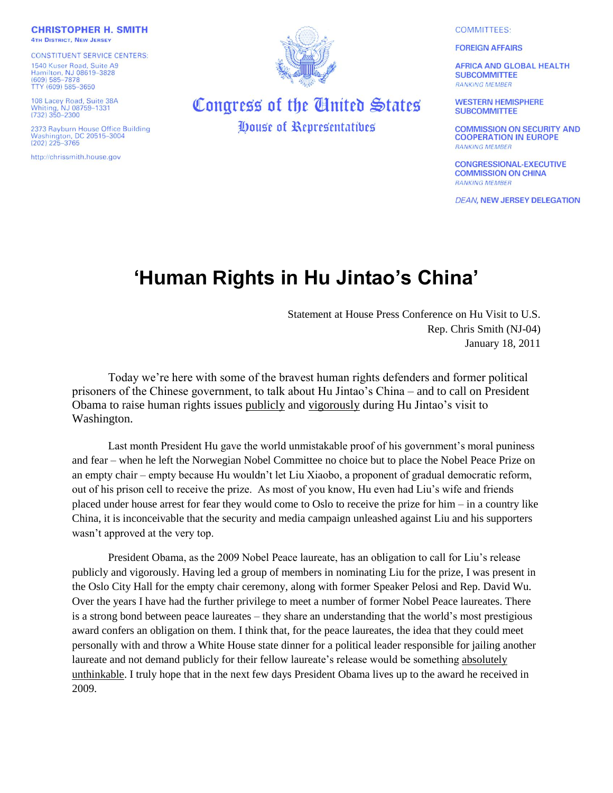**CHRISTOPHER H. SMITH 4TH DISTRICT, NEW JERSEY** 

**CONSTITUENT SERVICE CENTERS:** 1540 Kuser Road, Suite A9 Hamilton, NJ 08619-3828<br>(609) 585-7878 TTY (609) 585-3650

108 Lacey Road, Suite 38A<br>Whiting, NJ 08759-1331<br>(732) 350-2300

2373 Rayburn House Office Building Washington, DC 20515-3004  $(202)$  225-3765

http://chrissmith.house.gov



## Congress of the United States **Oouse of Representatives**

**COMMITTEES:** 

**FOREIGN AFFAIRS** 

**AFRICA AND GLOBAL HEALTH SUBCOMMITTEE RANKING MEMBER** 

**WESTERN HEMISPHERE SUBCOMMITTEE** 

**COMMISSION ON SECURITY AND COOPERATION IN EUROPE RANKING MEMBER** 

**CONGRESSIONAL-EXECUTIVE COMMISSION ON CHINA RANKING MEMBER** 

**DEAN, NEW JERSEY DELEGATION** 

## **'Human Rights in Hu Jintao's China'**

Statement at House Press Conference on Hu Visit to U.S. Rep. Chris Smith (NJ-04) January 18, 2011

Today we"re here with some of the bravest human rights defenders and former political prisoners of the Chinese government, to talk about Hu Jintao"s China – and to call on President Obama to raise human rights issues publicly and vigorously during Hu Jintao"s visit to Washington.

Last month President Hu gave the world unmistakable proof of his government's moral puniness and fear – when he left the Norwegian Nobel Committee no choice but to place the Nobel Peace Prize on an empty chair – empty because Hu wouldn"t let Liu Xiaobo, a proponent of gradual democratic reform, out of his prison cell to receive the prize. As most of you know, Hu even had Liu"s wife and friends placed under house arrest for fear they would come to Oslo to receive the prize for him – in a country like China, it is inconceivable that the security and media campaign unleashed against Liu and his supporters wasn't approved at the very top.

President Obama, as the 2009 Nobel Peace laureate, has an obligation to call for Liu"s release publicly and vigorously. Having led a group of members in nominating Liu for the prize, I was present in the Oslo City Hall for the empty chair ceremony, along with former Speaker Pelosi and Rep. David Wu. Over the years I have had the further privilege to meet a number of former Nobel Peace laureates. There is a strong bond between peace laureates – they share an understanding that the world"s most prestigious award confers an obligation on them. I think that, for the peace laureates, the idea that they could meet personally with and throw a White House state dinner for a political leader responsible for jailing another laureate and not demand publicly for their fellow laureate"s release would be something absolutely unthinkable. I truly hope that in the next few days President Obama lives up to the award he received in 2009.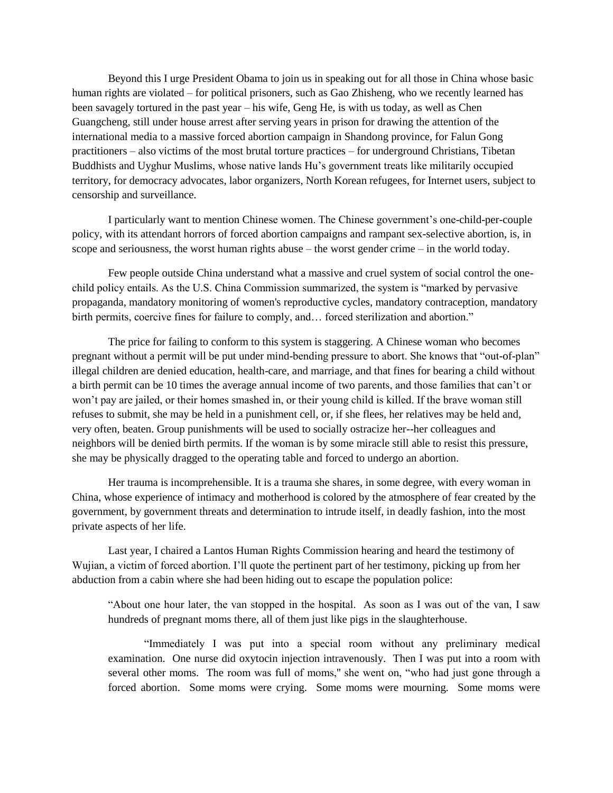Beyond this I urge President Obama to join us in speaking out for all those in China whose basic human rights are violated – for political prisoners, such as Gao Zhisheng, who we recently learned has been savagely tortured in the past year – his wife, Geng He, is with us today, as well as Chen Guangcheng, still under house arrest after serving years in prison for drawing the attention of the international media to a massive forced abortion campaign in Shandong province, for Falun Gong practitioners – also victims of the most brutal torture practices – for underground Christians, Tibetan Buddhists and Uyghur Muslims, whose native lands Hu"s government treats like militarily occupied territory, for democracy advocates, labor organizers, North Korean refugees, for Internet users, subject to censorship and surveillance.

I particularly want to mention Chinese women. The Chinese government"s one-child-per-couple policy, with its attendant horrors of forced abortion campaigns and rampant sex-selective abortion, is, in scope and seriousness, the worst human rights abuse – the worst gender crime – in the world today.

Few people outside China understand what a massive and cruel system of social control the onechild policy entails. As the U.S. China Commission summarized, the system is "marked by pervasive propaganda, mandatory monitoring of women's reproductive cycles, mandatory contraception, mandatory birth permits, coercive fines for failure to comply, and... forced sterilization and abortion."

The price for failing to conform to this system is staggering. A Chinese woman who becomes pregnant without a permit will be put under mind-bending pressure to abort. She knows that "out-of-plan" illegal children are denied education, health-care, and marriage, and that fines for bearing a child without a birth permit can be 10 times the average annual income of two parents, and those families that can"t or won"t pay are jailed, or their homes smashed in, or their young child is killed. If the brave woman still refuses to submit, she may be held in a punishment cell, or, if she flees, her relatives may be held and, very often, beaten. Group punishments will be used to socially ostracize her--her colleagues and neighbors will be denied birth permits. If the woman is by some miracle still able to resist this pressure, she may be physically dragged to the operating table and forced to undergo an abortion.

Her trauma is incomprehensible. It is a trauma she shares, in some degree, with every woman in China, whose experience of intimacy and motherhood is colored by the atmosphere of fear created by the government, by government threats and determination to intrude itself, in deadly fashion, into the most private aspects of her life.

Last year, I chaired a Lantos Human Rights Commission hearing and heard the testimony of Wujian, a victim of forced abortion. I"ll quote the pertinent part of her testimony, picking up from her abduction from a cabin where she had been hiding out to escape the population police:

"About one hour later, the van stopped in the hospital. As soon as I was out of the van, I saw hundreds of pregnant moms there, all of them just like pigs in the slaughterhouse.

"Immediately I was put into a special room without any preliminary medical examination. One nurse did oxytocin injection intravenously. Then I was put into a room with several other moms. The room was full of moms,'' she went on, "who had just gone through a forced abortion. Some moms were crying. Some moms were mourning. Some moms were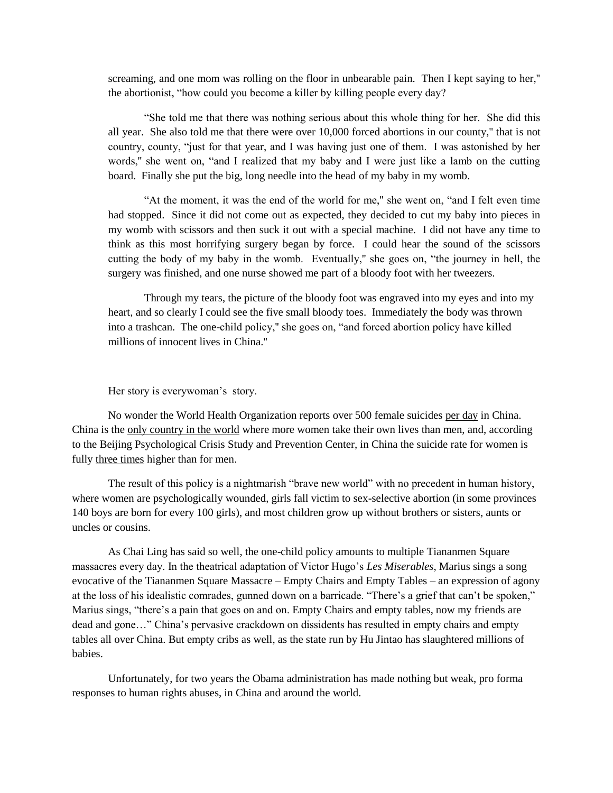screaming, and one mom was rolling on the floor in unbearable pain. Then I kept saying to her,'' the abortionist, "how could you become a killer by killing people every day?

"She told me that there was nothing serious about this whole thing for her. She did this all year. She also told me that there were over 10,000 forced abortions in our county,'' that is not country, county, "just for that year, and I was having just one of them. I was astonished by her words,'' she went on, "and I realized that my baby and I were just like a lamb on the cutting board. Finally she put the big, long needle into the head of my baby in my womb.

"At the moment, it was the end of the world for me,'' she went on, "and I felt even time had stopped. Since it did not come out as expected, they decided to cut my baby into pieces in my womb with scissors and then suck it out with a special machine. I did not have any time to think as this most horrifying surgery began by force. I could hear the sound of the scissors cutting the body of my baby in the womb. Eventually,'' she goes on, "the journey in hell, the surgery was finished, and one nurse showed me part of a bloody foot with her tweezers.

Through my tears, the picture of the bloody foot was engraved into my eyes and into my heart, and so clearly I could see the five small bloody toes. Immediately the body was thrown into a trashcan. The one-child policy,'' she goes on, "and forced abortion policy have killed millions of innocent lives in China.''

## Her story is everywoman's story.

No wonder the World Health Organization reports over 500 female suicides per day in China. China is the only country in the world where more women take their own lives than men, and, according to the Beijing Psychological Crisis Study and Prevention Center, in China the suicide rate for women is fully three times higher than for men.

The result of this policy is a nightmarish "brave new world" with no precedent in human history, where women are psychologically wounded, girls fall victim to sex-selective abortion (in some provinces 140 boys are born for every 100 girls), and most children grow up without brothers or sisters, aunts or uncles or cousins.

As Chai Ling has said so well, the one-child policy amounts to multiple Tiananmen Square massacres every day. In the theatrical adaptation of Victor Hugo"s *Les Miserables*, Marius sings a song evocative of the Tiananmen Square Massacre – Empty Chairs and Empty Tables – an expression of agony at the loss of his idealistic comrades, gunned down on a barricade. "There"s a grief that can"t be spoken," Marius sings, "there's a pain that goes on and on. Empty Chairs and empty tables, now my friends are dead and gone…" China"s pervasive crackdown on dissidents has resulted in empty chairs and empty tables all over China. But empty cribs as well, as the state run by Hu Jintao has slaughtered millions of babies.

Unfortunately, for two years the Obama administration has made nothing but weak, pro forma responses to human rights abuses, in China and around the world.